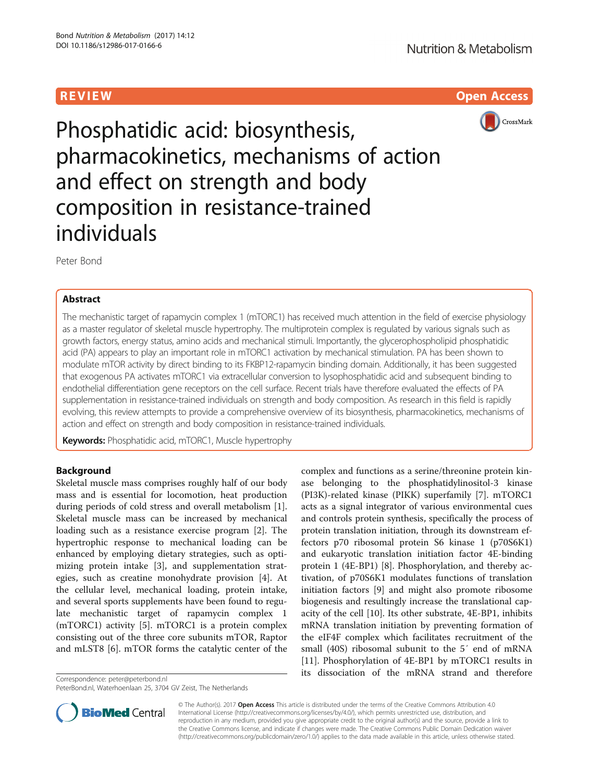R EVI EW Open Access



Phosphatidic acid: biosynthesis, pharmacokinetics, mechanisms of action and effect on strength and body composition in resistance-trained individuals

Peter Bond

# Abstract

The mechanistic target of rapamycin complex 1 (mTORC1) has received much attention in the field of exercise physiology as a master regulator of skeletal muscle hypertrophy. The multiprotein complex is regulated by various signals such as growth factors, energy status, amino acids and mechanical stimuli. Importantly, the glycerophospholipid phosphatidic acid (PA) appears to play an important role in mTORC1 activation by mechanical stimulation. PA has been shown to modulate mTOR activity by direct binding to its FKBP12-rapamycin binding domain. Additionally, it has been suggested that exogenous PA activates mTORC1 via extracellular conversion to lysophosphatidic acid and subsequent binding to endothelial differentiation gene receptors on the cell surface. Recent trials have therefore evaluated the effects of PA supplementation in resistance-trained individuals on strength and body composition. As research in this field is rapidly evolving, this review attempts to provide a comprehensive overview of its biosynthesis, pharmacokinetics, mechanisms of action and effect on strength and body composition in resistance-trained individuals.

Keywords: Phosphatidic acid, mTORC1, Muscle hypertrophy

# Background

Skeletal muscle mass comprises roughly half of our body mass and is essential for locomotion, heat production during periods of cold stress and overall metabolism [\[1](#page-6-0)]. Skeletal muscle mass can be increased by mechanical loading such as a resistance exercise program [[2\]](#page-6-0). The hypertrophic response to mechanical loading can be enhanced by employing dietary strategies, such as optimizing protein intake [[3\]](#page-6-0), and supplementation strategies, such as creatine monohydrate provision [\[4\]](#page-6-0). At the cellular level, mechanical loading, protein intake, and several sports supplements have been found to regulate mechanistic target of rapamycin complex 1 (mTORC1) activity [[5\]](#page-6-0). mTORC1 is a protein complex consisting out of the three core subunits mTOR, Raptor and mLST8 [[6\]](#page-7-0). mTOR forms the catalytic center of the

Correspondence: [peter@peterbond.nl](mailto:peter@peterbond.nl)

PeterBond.nl, Waterhoenlaan 25, 3704 GV Zeist, The Netherlands

complex and functions as a serine/threonine protein kinase belonging to the phosphatidylinositol-3 kinase (PI3K)-related kinase (PIKK) superfamily [\[7\]](#page-7-0). mTORC1 acts as a signal integrator of various environmental cues and controls protein synthesis, specifically the process of protein translation initiation, through its downstream effectors p70 ribosomal protein S6 kinase 1 (p70S6K1) and eukaryotic translation initiation factor 4E-binding protein 1 (4E-BP1) [[8\]](#page-7-0). Phosphorylation, and thereby activation, of p70S6K1 modulates functions of translation initiation factors [[9\]](#page-7-0) and might also promote ribosome biogenesis and resultingly increase the translational capacity of the cell [\[10\]](#page-7-0). Its other substrate, 4E-BP1, inhibits mRNA translation initiation by preventing formation of the eIF4F complex which facilitates recruitment of the small (40S) ribosomal subunit to the 5′ end of mRNA [[11\]](#page-7-0). Phosphorylation of 4E-BP1 by mTORC1 results in its dissociation of the mRNA strand and therefore



© The Author(s). 2017 **Open Access** This article is distributed under the terms of the Creative Commons Attribution 4.0 International License [\(http://creativecommons.org/licenses/by/4.0/](http://creativecommons.org/licenses/by/4.0/)), which permits unrestricted use, distribution, and reproduction in any medium, provided you give appropriate credit to the original author(s) and the source, provide a link to the Creative Commons license, and indicate if changes were made. The Creative Commons Public Domain Dedication waiver [\(http://creativecommons.org/publicdomain/zero/1.0/](http://creativecommons.org/publicdomain/zero/1.0/)) applies to the data made available in this article, unless otherwise stated.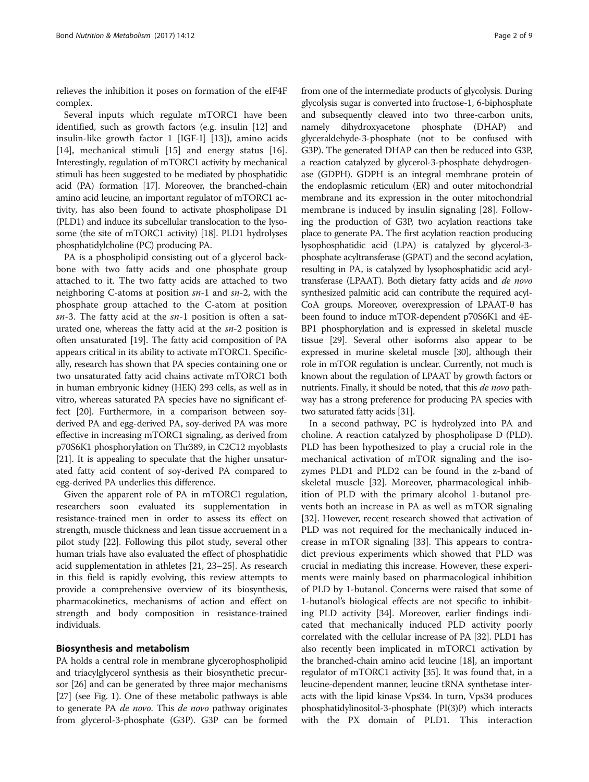relieves the inhibition it poses on formation of the eIF4F complex.

Several inputs which regulate mTORC1 have been identified, such as growth factors (e.g. insulin [\[12\]](#page-7-0) and insulin-like growth factor 1 [IGF-I] [\[13](#page-7-0)]), amino acids [[14\]](#page-7-0), mechanical stimuli [\[15\]](#page-7-0) and energy status [\[16](#page-7-0)]. Interestingly, regulation of mTORC1 activity by mechanical stimuli has been suggested to be mediated by phosphatidic acid (PA) formation [\[17\]](#page-7-0). Moreover, the branched-chain amino acid leucine, an important regulator of mTORC1 activity, has also been found to activate phospholipase D1 (PLD1) and induce its subcellular translocation to the lysosome (the site of mTORC1 activity) [\[18\]](#page-7-0). PLD1 hydrolyses phosphatidylcholine (PC) producing PA.

PA is a phospholipid consisting out of a glycerol backbone with two fatty acids and one phosphate group attached to it. The two fatty acids are attached to two neighboring C-atoms at position sn-1 and sn-2, with the phosphate group attached to the C-atom at position  $sn-3$ . The fatty acid at the  $sn-1$  position is often a saturated one, whereas the fatty acid at the sn-2 position is often unsaturated [[19\]](#page-7-0). The fatty acid composition of PA appears critical in its ability to activate mTORC1. Specifically, research has shown that PA species containing one or two unsaturated fatty acid chains activate mTORC1 both in human embryonic kidney (HEK) 293 cells, as well as in vitro, whereas saturated PA species have no significant effect [\[20\]](#page-7-0). Furthermore, in a comparison between soyderived PA and egg-derived PA, soy-derived PA was more effective in increasing mTORC1 signaling, as derived from p70S6K1 phosphorylation on Thr389, in C2C12 myoblasts [[21](#page-7-0)]. It is appealing to speculate that the higher unsaturated fatty acid content of soy-derived PA compared to egg-derived PA underlies this difference.

Given the apparent role of PA in mTORC1 regulation, researchers soon evaluated its supplementation in resistance-trained men in order to assess its effect on strength, muscle thickness and lean tissue accruement in a pilot study [[22](#page-7-0)]. Following this pilot study, several other human trials have also evaluated the effect of phosphatidic acid supplementation in athletes [[21](#page-7-0), [23](#page-7-0)–[25\]](#page-7-0). As research in this field is rapidly evolving, this review attempts to provide a comprehensive overview of its biosynthesis, pharmacokinetics, mechanisms of action and effect on strength and body composition in resistance-trained individuals.

## Biosynthesis and metabolism

PA holds a central role in membrane glycerophospholipid and triacylglycerol synthesis as their biosynthetic precursor [\[26\]](#page-7-0) and can be generated by three major mechanisms [[27](#page-7-0)] (see Fig. [1](#page-2-0)). One of these metabolic pathways is able to generate PA de novo. This de novo pathway originates from glycerol-3-phosphate (G3P). G3P can be formed from one of the intermediate products of glycolysis. During glycolysis sugar is converted into fructose-1, 6-biphosphate and subsequently cleaved into two three-carbon units, namely dihydroxyacetone phosphate (DHAP) and glyceraldehyde-3-phosphate (not to be confused with G3P). The generated DHAP can then be reduced into G3P, a reaction catalyzed by glycerol-3-phosphate dehydrogenase (GDPH). GDPH is an integral membrane protein of the endoplasmic reticulum (ER) and outer mitochondrial membrane and its expression in the outer mitochondrial membrane is induced by insulin signaling [\[28](#page-7-0)]. Following the production of G3P, two acylation reactions take place to generate PA. The first acylation reaction producing lysophosphatidic acid (LPA) is catalyzed by glycerol-3 phosphate acyltransferase (GPAT) and the second acylation, resulting in PA, is catalyzed by lysophosphatidic acid acyltransferase (LPAAT). Both dietary fatty acids and de novo synthesized palmitic acid can contribute the required acyl-CoA groups. Moreover, overexpression of LPAAT-θ has been found to induce mTOR-dependent p70S6K1 and 4E-BP1 phosphorylation and is expressed in skeletal muscle tissue [\[29\]](#page-7-0). Several other isoforms also appear to be expressed in murine skeletal muscle [\[30](#page-7-0)], although their role in mTOR regulation is unclear. Currently, not much is known about the regulation of LPAAT by growth factors or nutrients. Finally, it should be noted, that this *de novo* pathway has a strong preference for producing PA species with two saturated fatty acids [\[31\]](#page-7-0).

In a second pathway, PC is hydrolyzed into PA and choline. A reaction catalyzed by phospholipase D (PLD). PLD has been hypothesized to play a crucial role in the mechanical activation of mTOR signaling and the isozymes PLD1 and PLD2 can be found in the z-band of skeletal muscle [\[32](#page-7-0)]. Moreover, pharmacological inhibition of PLD with the primary alcohol 1-butanol prevents both an increase in PA as well as mTOR signaling [[32\]](#page-7-0). However, recent research showed that activation of PLD was not required for the mechanically induced increase in mTOR signaling [[33\]](#page-7-0). This appears to contradict previous experiments which showed that PLD was crucial in mediating this increase. However, these experiments were mainly based on pharmacological inhibition of PLD by 1-butanol. Concerns were raised that some of 1-butanol's biological effects are not specific to inhibiting PLD activity [[34](#page-7-0)]. Moreover, earlier findings indicated that mechanically induced PLD activity poorly correlated with the cellular increase of PA [\[32\]](#page-7-0). PLD1 has also recently been implicated in mTORC1 activation by the branched-chain amino acid leucine [\[18](#page-7-0)], an important regulator of mTORC1 activity [\[35\]](#page-7-0). It was found that, in a leucine-dependent manner, leucine tRNA synthetase interacts with the lipid kinase Vps34. In turn, Vps34 produces phosphatidylinositol-3-phosphate (PI(3)P) which interacts with the PX domain of PLD1. This interaction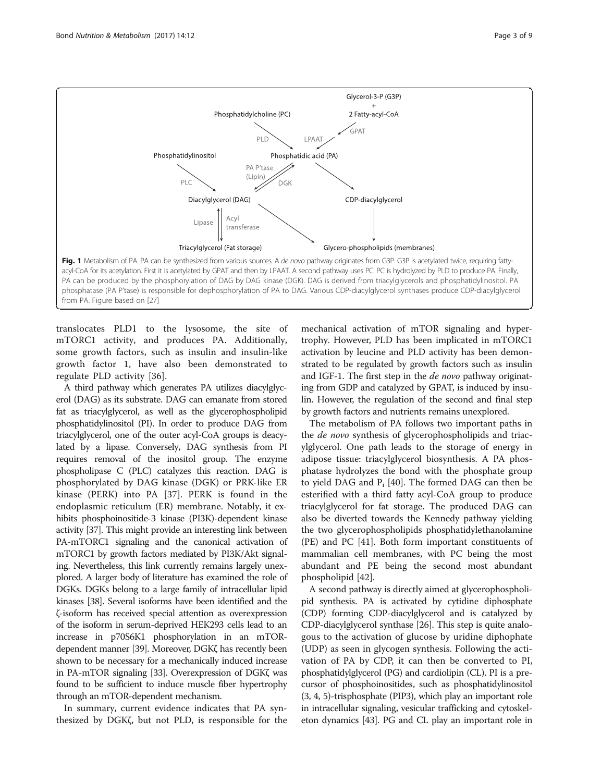<span id="page-2-0"></span>

translocates PLD1 to the lysosome, the site of mTORC1 activity, and produces PA. Additionally, some growth factors, such as insulin and insulin-like growth factor 1, have also been demonstrated to regulate PLD activity [\[36](#page-7-0)].

A third pathway which generates PA utilizes diacylglycerol (DAG) as its substrate. DAG can emanate from stored fat as triacylglycerol, as well as the glycerophospholipid phosphatidylinositol (PI). In order to produce DAG from triacylglycerol, one of the outer acyl-CoA groups is deacylated by a lipase. Conversely, DAG synthesis from PI requires removal of the inositol group. The enzyme phospholipase C (PLC) catalyzes this reaction. DAG is phosphorylated by DAG kinase (DGK) or PRK-like ER kinase (PERK) into PA [\[37](#page-7-0)]. PERK is found in the endoplasmic reticulum (ER) membrane. Notably, it exhibits phosphoinositide-3 kinase (PI3K)-dependent kinase activity [\[37](#page-7-0)]. This might provide an interesting link between PA-mTORC1 signaling and the canonical activation of mTORC1 by growth factors mediated by PI3K/Akt signaling. Nevertheless, this link currently remains largely unexplored. A larger body of literature has examined the role of DGKs. DGKs belong to a large family of intracellular lipid kinases [\[38\]](#page-7-0). Several isoforms have been identified and the ζ-isoform has received special attention as overexpression of the isoform in serum-deprived HEK293 cells lead to an increase in p70S6K1 phosphorylation in an mTORdependent manner [\[39\]](#page-7-0). Moreover, DGKζ has recently been shown to be necessary for a mechanically induced increase in PA-mTOR signaling [\[33](#page-7-0)]. Overexpression of DGKζ was found to be sufficient to induce muscle fiber hypertrophy through an mTOR-dependent mechanism.

In summary, current evidence indicates that PA synthesized by DGKζ, but not PLD, is responsible for the

mechanical activation of mTOR signaling and hypertrophy. However, PLD has been implicated in mTORC1 activation by leucine and PLD activity has been demonstrated to be regulated by growth factors such as insulin and IGF-1. The first step in the *de novo* pathway originating from GDP and catalyzed by GPAT, is induced by insulin. However, the regulation of the second and final step by growth factors and nutrients remains unexplored.

The metabolism of PA follows two important paths in the *de novo* synthesis of glycerophospholipids and triacylglycerol. One path leads to the storage of energy in adipose tissue: triacylglycerol biosynthesis. A PA phosphatase hydrolyzes the bond with the phosphate group to yield DAG and  $P_i$  [\[40\]](#page-7-0). The formed DAG can then be esterified with a third fatty acyl-CoA group to produce triacylglycerol for fat storage. The produced DAG can also be diverted towards the Kennedy pathway yielding the two glycerophospholipids phosphatidylethanolamine (PE) and PC [[41\]](#page-7-0). Both form important constituents of mammalian cell membranes, with PC being the most abundant and PE being the second most abundant phospholipid [\[42\]](#page-7-0).

A second pathway is directly aimed at glycerophospholipid synthesis. PA is activated by cytidine diphosphate (CDP) forming CDP-diacylglycerol and is catalyzed by CDP-diacylglycerol synthase [\[26\]](#page-7-0). This step is quite analogous to the activation of glucose by uridine diphophate (UDP) as seen in glycogen synthesis. Following the activation of PA by CDP, it can then be converted to PI, phosphatidylglycerol (PG) and cardiolipin (CL). PI is a precursor of phosphoinositides, such as phosphatidylinositol (3, 4, 5)-trisphosphate (PIP3), which play an important role in intracellular signaling, vesicular trafficking and cytoskeleton dynamics [\[43\]](#page-7-0). PG and CL play an important role in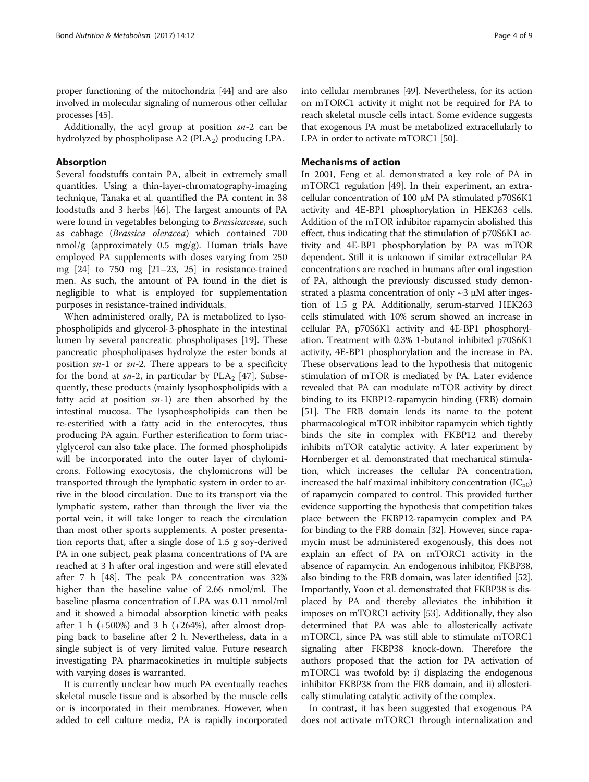proper functioning of the mitochondria [\[44\]](#page-7-0) and are also involved in molecular signaling of numerous other cellular processes [[45](#page-7-0)].

Additionally, the acyl group at position sn-2 can be hydrolyzed by phospholipase A2 (PLA<sub>2</sub>) producing LPA.

# Absorption

Several foodstuffs contain PA, albeit in extremely small quantities. Using a thin-layer-chromatography-imaging technique, Tanaka et al. quantified the PA content in 38 foodstuffs and 3 herbs [[46\]](#page-7-0). The largest amounts of PA were found in vegetables belonging to Brassicaceae, such as cabbage (Brassica oleracea) which contained 700 nmol/g (approximately 0.5 mg/g). Human trials have employed PA supplements with doses varying from 250 mg [\[24](#page-7-0)] to 750 mg [[21](#page-7-0)–[23](#page-7-0), [25\]](#page-7-0) in resistance-trained men. As such, the amount of PA found in the diet is negligible to what is employed for supplementation purposes in resistance-trained individuals.

When administered orally, PA is metabolized to lysophospholipids and glycerol-3-phosphate in the intestinal lumen by several pancreatic phospholipases [\[19\]](#page-7-0). These pancreatic phospholipases hydrolyze the ester bonds at position  $sn-1$  or  $sn-2$ . There appears to be a specificity for the bond at  $sn-2$ , in particular by  $PLA_2$  [[47](#page-7-0)]. Subsequently, these products (mainly lysophospholipids with a fatty acid at position  $sn-1$ ) are then absorbed by the intestinal mucosa. The lysophospholipids can then be re-esterified with a fatty acid in the enterocytes, thus producing PA again. Further esterification to form triacylglycerol can also take place. The formed phospholipids will be incorporated into the outer layer of chylomicrons. Following exocytosis, the chylomicrons will be transported through the lymphatic system in order to arrive in the blood circulation. Due to its transport via the lymphatic system, rather than through the liver via the portal vein, it will take longer to reach the circulation than most other sports supplements. A poster presentation reports that, after a single dose of 1.5 g soy-derived PA in one subject, peak plasma concentrations of PA are reached at 3 h after oral ingestion and were still elevated after 7 h [[48\]](#page-7-0). The peak PA concentration was 32% higher than the baseline value of 2.66 nmol/ml. The baseline plasma concentration of LPA was 0.11 nmol/ml and it showed a bimodal absorption kinetic with peaks after 1 h  $(+500%)$  and 3 h  $(+264%)$ , after almost dropping back to baseline after 2 h. Nevertheless, data in a single subject is of very limited value. Future research investigating PA pharmacokinetics in multiple subjects with varying doses is warranted.

It is currently unclear how much PA eventually reaches skeletal muscle tissue and is absorbed by the muscle cells or is incorporated in their membranes. However, when added to cell culture media, PA is rapidly incorporated into cellular membranes [[49](#page-7-0)]. Nevertheless, for its action on mTORC1 activity it might not be required for PA to reach skeletal muscle cells intact. Some evidence suggests that exogenous PA must be metabolized extracellularly to LPA in order to activate mTORC1 [\[50\]](#page-7-0).

## Mechanisms of action

In 2001, Feng et al. demonstrated a key role of PA in mTORC1 regulation [[49](#page-7-0)]. In their experiment, an extracellular concentration of 100 μM PA stimulated p70S6K1 activity and 4E-BP1 phosphorylation in HEK263 cells. Addition of the mTOR inhibitor rapamycin abolished this effect, thus indicating that the stimulation of p70S6K1 activity and 4E-BP1 phosphorylation by PA was mTOR dependent. Still it is unknown if similar extracellular PA concentrations are reached in humans after oral ingestion of PA, although the previously discussed study demonstrated a plasma concentration of only  $\sim$ 3  $\mu$ M after ingestion of 1.5 g PA. Additionally, serum-starved HEK263 cells stimulated with 10% serum showed an increase in cellular PA, p70S6K1 activity and 4E-BP1 phosphorylation. Treatment with 0.3% 1-butanol inhibited p70S6K1 activity, 4E-BP1 phosphorylation and the increase in PA. These observations lead to the hypothesis that mitogenic stimulation of mTOR is mediated by PA. Later evidence revealed that PA can modulate mTOR activity by direct binding to its FKBP12-rapamycin binding (FRB) domain [[51](#page-7-0)]. The FRB domain lends its name to the potent pharmacological mTOR inhibitor rapamycin which tightly binds the site in complex with FKBP12 and thereby inhibits mTOR catalytic activity. A later experiment by Hornberger et al. demonstrated that mechanical stimulation, which increases the cellular PA concentration, increased the half maximal inhibitory concentration  $(IC_{50})$ of rapamycin compared to control. This provided further evidence supporting the hypothesis that competition takes place between the FKBP12-rapamycin complex and PA for binding to the FRB domain [\[32\]](#page-7-0). However, since rapamycin must be administered exogenously, this does not explain an effect of PA on mTORC1 activity in the absence of rapamycin. An endogenous inhibitor, FKBP38, also binding to the FRB domain, was later identified [[52](#page-7-0)]. Importantly, Yoon et al. demonstrated that FKBP38 is displaced by PA and thereby alleviates the inhibition it imposes on mTORC1 activity [[53\]](#page-7-0). Additionally, they also determined that PA was able to allosterically activate mTORC1, since PA was still able to stimulate mTORC1 signaling after FKBP38 knock-down. Therefore the authors proposed that the action for PA activation of mTORC1 was twofold by: i) displacing the endogenous inhibitor FKBP38 from the FRB domain, and ii) allosterically stimulating catalytic activity of the complex.

In contrast, it has been suggested that exogenous PA does not activate mTORC1 through internalization and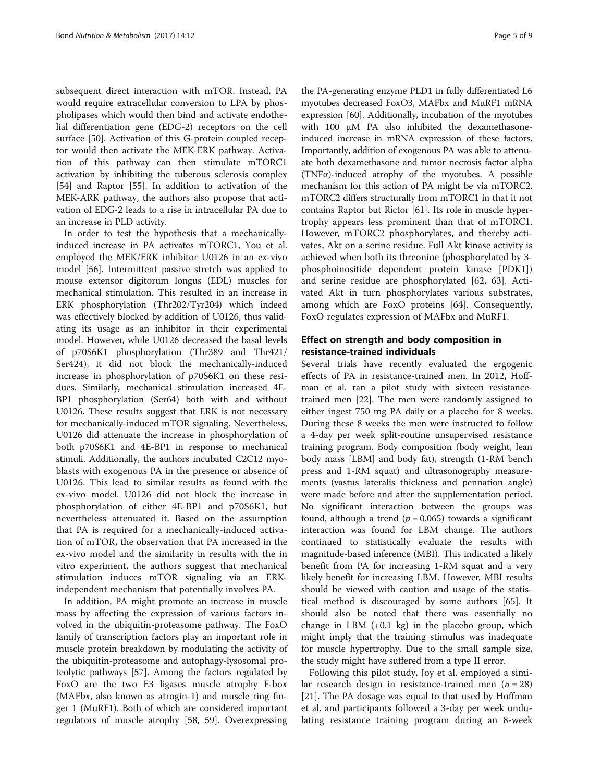subsequent direct interaction with mTOR. Instead, PA would require extracellular conversion to LPA by phospholipases which would then bind and activate endothelial differentiation gene (EDG-2) receptors on the cell surface [\[50\]](#page-7-0). Activation of this G-protein coupled receptor would then activate the MEK-ERK pathway. Activation of this pathway can then stimulate mTORC1 activation by inhibiting the tuberous sclerosis complex [[54\]](#page-8-0) and Raptor [[55\]](#page-8-0). In addition to activation of the MEK-ARK pathway, the authors also propose that activation of EDG-2 leads to a rise in intracellular PA due to an increase in PLD activity.

In order to test the hypothesis that a mechanicallyinduced increase in PA activates mTORC1, You et al. employed the MEK/ERK inhibitor U0126 in an ex-vivo model [[56](#page-8-0)]. Intermittent passive stretch was applied to mouse extensor digitorum longus (EDL) muscles for mechanical stimulation. This resulted in an increase in ERK phosphorylation (Thr202/Tyr204) which indeed was effectively blocked by addition of U0126, thus validating its usage as an inhibitor in their experimental model. However, while U0126 decreased the basal levels of p70S6K1 phosphorylation (Thr389 and Thr421/ Ser424), it did not block the mechanically-induced increase in phosphorylation of p70S6K1 on these residues. Similarly, mechanical stimulation increased 4E-BP1 phosphorylation (Ser64) both with and without U0126. These results suggest that ERK is not necessary for mechanically-induced mTOR signaling. Nevertheless, U0126 did attenuate the increase in phosphorylation of both p70S6K1 and 4E-BP1 in response to mechanical stimuli. Additionally, the authors incubated C2C12 myoblasts with exogenous PA in the presence or absence of U0126. This lead to similar results as found with the ex-vivo model. U0126 did not block the increase in phosphorylation of either 4E-BP1 and p70S6K1, but nevertheless attenuated it. Based on the assumption that PA is required for a mechanically-induced activation of mTOR, the observation that PA increased in the ex-vivo model and the similarity in results with the in vitro experiment, the authors suggest that mechanical stimulation induces mTOR signaling via an ERKindependent mechanism that potentially involves PA.

In addition, PA might promote an increase in muscle mass by affecting the expression of various factors involved in the ubiquitin-proteasome pathway. The FoxO family of transcription factors play an important role in muscle protein breakdown by modulating the activity of the ubiquitin-proteasome and autophagy-lysosomal proteolytic pathways [[57\]](#page-8-0). Among the factors regulated by FoxO are the two E3 ligases muscle atrophy F-box (MAFbx, also known as atrogin-1) and muscle ring finger 1 (MuRF1). Both of which are considered important regulators of muscle atrophy [[58, 59\]](#page-8-0). Overexpressing

the PA-generating enzyme PLD1 in fully differentiated L6 myotubes decreased FoxO3, MAFbx and MuRF1 mRNA expression [[60](#page-8-0)]. Additionally, incubation of the myotubes with 100 μM PA also inhibited the dexamethasoneinduced increase in mRNA expression of these factors. Importantly, addition of exogenous PA was able to attenuate both dexamethasone and tumor necrosis factor alpha (TNFα)-induced atrophy of the myotubes. A possible mechanism for this action of PA might be via mTORC2. mTORC2 differs structurally from mTORC1 in that it not contains Raptor but Rictor [[61](#page-8-0)]. Its role in muscle hypertrophy appears less prominent than that of mTORC1. However, mTORC2 phosphorylates, and thereby activates, Akt on a serine residue. Full Akt kinase activity is achieved when both its threonine (phosphorylated by 3 phosphoinositide dependent protein kinase [PDK1]) and serine residue are phosphorylated [[62, 63](#page-8-0)]. Activated Akt in turn phosphorylates various substrates, among which are FoxO proteins [[64\]](#page-8-0). Consequently, FoxO regulates expression of MAFbx and MuRF1.

# Effect on strength and body composition in resistance-trained individuals

Several trials have recently evaluated the ergogenic effects of PA in resistance-trained men. In 2012, Hoffman et al. ran a pilot study with sixteen resistancetrained men [\[22\]](#page-7-0). The men were randomly assigned to either ingest 750 mg PA daily or a placebo for 8 weeks. During these 8 weeks the men were instructed to follow a 4-day per week split-routine unsupervised resistance training program. Body composition (body weight, lean body mass [LBM] and body fat), strength (1-RM bench press and 1-RM squat) and ultrasonography measurements (vastus lateralis thickness and pennation angle) were made before and after the supplementation period. No significant interaction between the groups was found, although a trend ( $p = 0.065$ ) towards a significant interaction was found for LBM change. The authors continued to statistically evaluate the results with magnitude-based inference (MBI). This indicated a likely benefit from PA for increasing 1-RM squat and a very likely benefit for increasing LBM. However, MBI results should be viewed with caution and usage of the statistical method is discouraged by some authors [[65](#page-8-0)]. It should also be noted that there was essentially no change in LBM (+0.1 kg) in the placebo group, which might imply that the training stimulus was inadequate for muscle hypertrophy. Due to the small sample size, the study might have suffered from a type II error.

Following this pilot study, Joy et al. employed a similar research design in resistance-trained men  $(n = 28)$ [[21\]](#page-7-0). The PA dosage was equal to that used by Hoffman et al. and participants followed a 3-day per week undulating resistance training program during an 8-week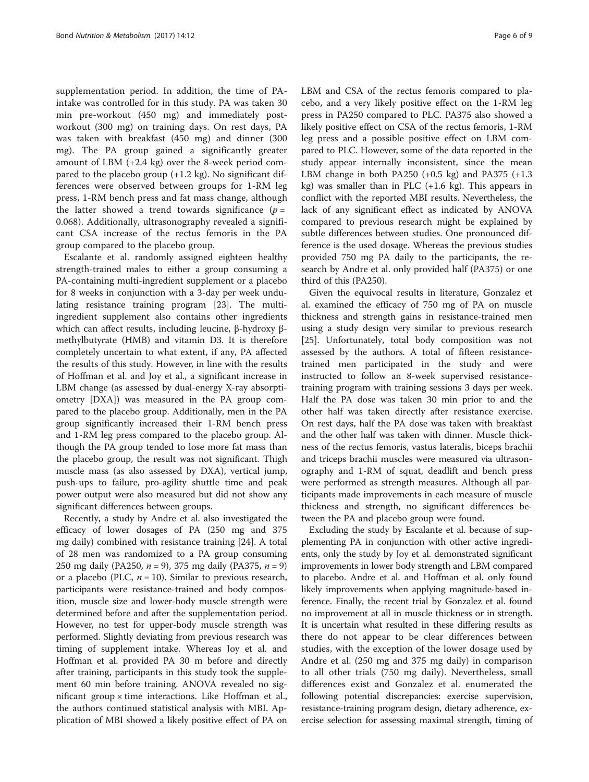supplementation period. In addition, the time of PAintake was controlled for in this study. PA was taken 30 min pre-workout (450 mg) and immediately postworkout (300 mg) on training days. On rest days, PA was taken with breakfast (450 mg) and dinner (300 mg). The PA group gained a significantly greater amount of LBM (+2.4 kg) over the 8-week period compared to the placebo group  $(+1.2 \text{ kg})$ . No significant differences were observed between groups for 1-RM leg press, 1-RM bench press and fat mass change, although the latter showed a trend towards significance  $(p =$ 0.068). Additionally, ultrasonography revealed a significant CSA increase of the rectus femoris in the PA group compared to the placebo group.

Escalante et al. randomly assigned eighteen healthy strength-trained males to either a group consuming a PA-containing multi-ingredient supplement or a placebo for 8 weeks in conjunction with a 3-day per week undulating resistance training program [\[23\]](#page-7-0). The multiingredient supplement also contains other ingredients which can affect results, including leucine, β-hydroxy βmethylbutyrate (HMB) and vitamin D3. It is therefore completely uncertain to what extent, if any, PA affected the results of this study. However, in line with the results of Hoffman et al. and Joy et al., a significant increase in LBM change (as assessed by dual-energy X-ray absorptiometry [DXA]) was measured in the PA group compared to the placebo group. Additionally, men in the PA group significantly increased their 1-RM bench press and 1-RM leg press compared to the placebo group. Although the PA group tended to lose more fat mass than the placebo group, the result was not significant. Thigh muscle mass (as also assessed by DXA), vertical jump, push-ups to failure, pro-agility shuttle time and peak power output were also measured but did not show any significant differences between groups.

Recently, a study by Andre et al. also investigated the efficacy of lower dosages of PA (250 mg and 375 mg daily) combined with resistance training [[24\]](#page-7-0). A total of 28 men was randomized to a PA group consuming 250 mg daily (PA250,  $n = 9$ ), 375 mg daily (PA375,  $n = 9$ ) or a placebo (PLC,  $n = 10$ ). Similar to previous research, participants were resistance-trained and body composition, muscle size and lower-body muscle strength were determined before and after the supplementation period. However, no test for upper-body muscle strength was performed. Slightly deviating from previous research was timing of supplement intake. Whereas Joy et al. and Hoffman et al. provided PA 30 m before and directly after training, participants in this study took the supplement 60 min before training. ANOVA revealed no significant group  $\times$  time interactions. Like Hoffman et al., the authors continued statistical analysis with MBI. Application of MBI showed a likely positive effect of PA on LBM and CSA of the rectus femoris compared to placebo, and a very likely positive effect on the 1-RM leg press in PA250 compared to PLC. PA375 also showed a likely positive effect on CSA of the rectus femoris, 1-RM leg press and a possible positive effect on LBM compared to PLC. However, some of the data reported in the study appear internally inconsistent, since the mean LBM change in both PA250  $(+0.5 \text{ kg})$  and PA375  $(+1.3 \text{ m})$ kg) was smaller than in PLC  $(+1.6 \text{ kg})$ . This appears in conflict with the reported MBI results. Nevertheless, the lack of any significant effect as indicated by ANOVA compared to previous research might be explained by subtle differences between studies. One pronounced difference is the used dosage. Whereas the previous studies provided 750 mg PA daily to the participants, the research by Andre et al. only provided half (PA375) or one third of this (PA250).

Given the equivocal results in literature, Gonzalez et al. examined the efficacy of 750 mg of PA on muscle thickness and strength gains in resistance-trained men using a study design very similar to previous research [[25\]](#page-7-0). Unfortunately, total body composition was not assessed by the authors. A total of fifteen resistancetrained men participated in the study and were instructed to follow an 8-week supervised resistancetraining program with training sessions 3 days per week. Half the PA dose was taken 30 min prior to and the other half was taken directly after resistance exercise. On rest days, half the PA dose was taken with breakfast and the other half was taken with dinner. Muscle thickness of the rectus femoris, vastus lateralis, biceps brachii and triceps brachii muscles were measured via ultrasonography and 1-RM of squat, deadlift and bench press were performed as strength measures. Although all participants made improvements in each measure of muscle thickness and strength, no significant differences between the PA and placebo group were found.

Excluding the study by Escalante et al. because of supplementing PA in conjunction with other active ingredients, only the study by Joy et al. demonstrated significant improvements in lower body strength and LBM compared to placebo. Andre et al. and Hoffman et al. only found likely improvements when applying magnitude-based inference. Finally, the recent trial by Gonzalez et al. found no improvement at all in muscle thickness or in strength. It is uncertain what resulted in these differing results as there do not appear to be clear differences between studies, with the exception of the lower dosage used by Andre et al. (250 mg and 375 mg daily) in comparison to all other trials (750 mg daily). Nevertheless, small differences exist and Gonzalez et al. enumerated the following potential discrepancies: exercise supervision, resistance-training program design, dietary adherence, exercise selection for assessing maximal strength, timing of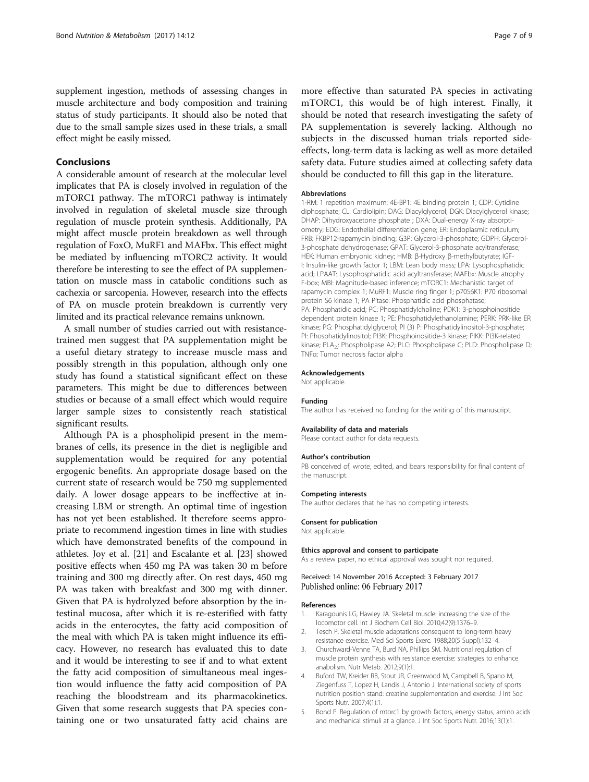<span id="page-6-0"></span>supplement ingestion, methods of assessing changes in muscle architecture and body composition and training status of study participants. It should also be noted that due to the small sample sizes used in these trials, a small effect might be easily missed.

# Conclusions

A considerable amount of research at the molecular level implicates that PA is closely involved in regulation of the mTORC1 pathway. The mTORC1 pathway is intimately involved in regulation of skeletal muscle size through regulation of muscle protein synthesis. Additionally, PA might affect muscle protein breakdown as well through regulation of FoxO, MuRF1 and MAFbx. This effect might be mediated by influencing mTORC2 activity. It would therefore be interesting to see the effect of PA supplementation on muscle mass in catabolic conditions such as cachexia or sarcopenia. However, research into the effects of PA on muscle protein breakdown is currently very limited and its practical relevance remains unknown.

A small number of studies carried out with resistancetrained men suggest that PA supplementation might be a useful dietary strategy to increase muscle mass and possibly strength in this population, although only one study has found a statistical significant effect on these parameters. This might be due to differences between studies or because of a small effect which would require larger sample sizes to consistently reach statistical significant results.

Although PA is a phospholipid present in the membranes of cells, its presence in the diet is negligible and supplementation would be required for any potential ergogenic benefits. An appropriate dosage based on the current state of research would be 750 mg supplemented daily. A lower dosage appears to be ineffective at increasing LBM or strength. An optimal time of ingestion has not yet been established. It therefore seems appropriate to recommend ingestion times in line with studies which have demonstrated benefits of the compound in athletes. Joy et al. [[21\]](#page-7-0) and Escalante et al. [\[23\]](#page-7-0) showed positive effects when 450 mg PA was taken 30 m before training and 300 mg directly after. On rest days, 450 mg PA was taken with breakfast and 300 mg with dinner. Given that PA is hydrolyzed before absorption by the intestinal mucosa, after which it is re-esterified with fatty acids in the enterocytes, the fatty acid composition of the meal with which PA is taken might influence its efficacy. However, no research has evaluated this to date and it would be interesting to see if and to what extent the fatty acid composition of simultaneous meal ingestion would influence the fatty acid composition of PA reaching the bloodstream and its pharmacokinetics. Given that some research suggests that PA species containing one or two unsaturated fatty acid chains are

more effective than saturated PA species in activating mTORC1, this would be of high interest. Finally, it should be noted that research investigating the safety of PA supplementation is severely lacking. Although no subjects in the discussed human trials reported sideeffects, long-term data is lacking as well as more detailed safety data. Future studies aimed at collecting safety data should be conducted to fill this gap in the literature.

## **Abbreviations**

1-RM: 1 repetition maximum; 4E-BP1: 4E binding protein 1; CDP: Cytidine diphosphate; CL: Cardiolipin; DAG: Diacylglycerol; DGK: Diacylglycerol kinase; DHAP: Dihydroxyacetone phosphate ; DXA: Dual-energy X-ray absorptiometry; EDG: Endothelial differentiation gene; ER: Endoplasmic reticulum; FRB: FKBP12-rapamycin binding; G3P: Glycerol-3-phosphate; GDPH: Glycerol-3-phosphate dehydrogenase; GPAT: Glycerol-3-phosphate acyltransferase; HEK: Human embryonic kidney; HMB: β-Hydroxy β-methylbutyrate; IGF-I: Insulin-like growth factor 1; LBM: Lean body mass; LPA: Lysophosphatidic acid; LPAAT: Lysophosphatidic acid acyltransferase; MAFbx: Muscle atrophy F-box; MBI: Magnitude-based inference; mTORC1: Mechanistic target of rapamycin complex 1; MuRF1: Muscle ring finger 1; p70S6K1: P70 ribosomal protein S6 kinase 1; PA P'tase: Phosphatidic acid phosphatase; PA: Phosphatidic acid; PC: Phosphatidylcholine; PDK1: 3-phosphoinositide dependent protein kinase 1; PE: Phosphatidylethanolamine; PERK: PRK-like ER kinase; PG: Phosphatidylglycerol; PI (3) P: Phosphatidylinositol-3-phosphate; PI: Phosphatidylinositol; PI3K: Phosphoinositide-3 kinase; PIKK: PI3K-related kinase; PLA<sub>2</sub>: Phospholipase A2; PLC: Phospholipase C; PLD: Phospholipase D; TNFα: Tumor necrosis factor alpha

## Acknowledgements

Not applicable.

## Funding

The author has received no funding for the writing of this manuscript.

### Availability of data and materials

Please contact author for data requests.

#### Author's contribution

PB conceived of, wrote, edited, and bears responsibility for final content of the manuscript.

### Competing interests

The author declares that he has no competing interests.

#### Consent for publication

Not applicable.

## Ethics approval and consent to participate

As a review paper, no ethical approval was sought nor required.

## Received: 14 November 2016 Accepted: 3 February 2017 Published online: 06 February 2017

#### References

- Karagounis LG, Hawley JA. Skeletal muscle: increasing the size of the locomotor cell. Int J Biochem Cell Biol. 2010;42(9):1376–9.
- 2. Tesch P. Skeletal muscle adaptations consequent to long-term heavy resistance exercise. Med Sci Sports Exerc. 1988;20(5 Suppl):132–4.
- 3. Churchward-Venne TA, Burd NA, Phillips SM. Nutritional regulation of muscle protein synthesis with resistance exercise: strategies to enhance anabolism. Nutr Metab. 2012;9(1):1.
- 4. Buford TW, Kreider RB, Stout JR, Greenwood M, Campbell B, Spano M, Ziegenfuss T, Lopez H, Landis J, Antonio J. International society of sports nutrition position stand: creatine supplementation and exercise. J Int Soc Sports Nutr. 2007;4(1):1.
- 5. Bond P. Regulation of mtorc1 by growth factors, energy status, amino acids and mechanical stimuli at a glance. J Int Soc Sports Nutr. 2016;13(1):1.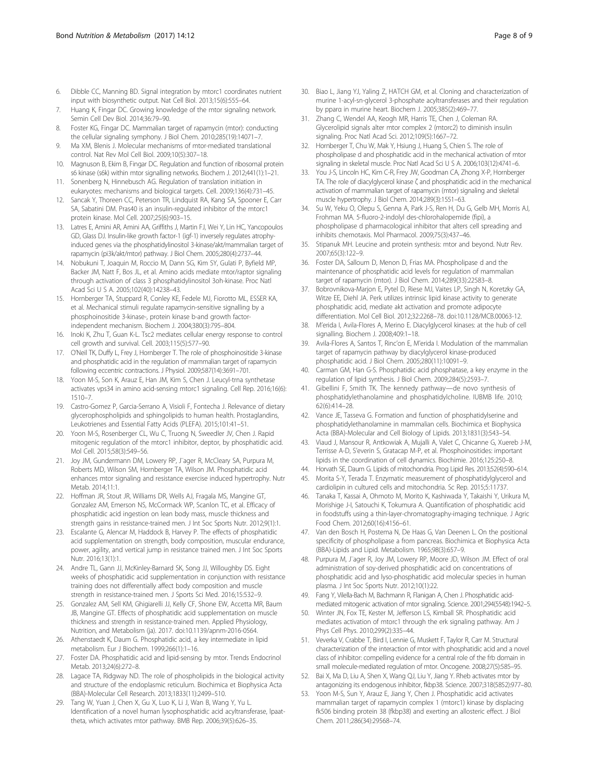- <span id="page-7-0"></span>6. Dibble CC, Manning BD. Signal integration by mtorc1 coordinates nutrient input with biosynthetic output. Nat Cell Biol. 2013;15(6):555–64.
- 7. Huang K, Fingar DC. Growing knowledge of the mtor signaling network. Semin Cell Dev Biol. 2014;36:79–90.
- 8. Foster KG, Fingar DC. Mammalian target of rapamycin (mtor): conducting the cellular signaling symphony. J Biol Chem. 2010;285(19):14071–7.
- 9. Ma XM, Blenis J. Molecular mechanisms of mtor-mediated translational control. Nat Rev Mol Cell Biol. 2009;10(5):307–18.
- 10. Magnuson B, Ekim B, Fingar DC. Regulation and function of ribosomal protein s6 kinase (s6k) within mtor signalling networks. Biochem J. 2012;441(1):1–21.
- 11. Sonenberg N, Hinnebusch AG. Regulation of translation initiation in eukaryotes: mechanisms and biological targets. Cell. 2009;136(4):731–45.
- 12. Sancak Y, Thoreen CC, Peterson TR, Lindquist RA, Kang SA, Spooner E, Carr SA, Sabatini DM. Pras40 is an insulin-regulated inhibitor of the mtorc1 protein kinase. Mol Cell. 2007;25(6):903–15.
- 13. Latres E, Amini AR, Amini AA, Griffiths J, Martin FJ, Wei Y, Lin HC, Yancopoulos GD, Glass DJ. Insulin-like growth factor-1 (igf-1) inversely regulates atrophyinduced genes via the phosphatidylinositol 3-kinase/akt/mammalian target of rapamycin (pi3k/akt/mtor) pathway. J Biol Chem. 2005;280(4):2737–44.
- 14. Nobukuni T, Joaquin M, Roccio M, Dann SG, Kim SY, Gulati P, Byfield MP, Backer JM, Natt F, Bos JL, et al. Amino acids mediate mtor/raptor signaling through activation of class 3 phosphatidylinositol 3oh-kinase. Proc Natl Acad Sci U S A. 2005;102(40):14238–43.
- 15. Hornberger TA, Stuppard R, Conley KE, Fedele MJ, Fiorotto ML, ESSER KA, et al. Mechanical stimuli regulate rapamycin-sensitive signalling by a phosphoinositide 3-kinase-, protein kinase b-and growth factorindependent mechanism. Biochem J. 2004;380(3):795–804.
- 16. Inoki K, Zhu T, Guan K-L. Tsc2 mediates cellular energy response to control cell growth and survival. Cell. 2003;115(5):577–90.
- 17. O'Neil TK, Duffy L, Frey J, Hornberger T. The role of phosphoinositide 3-kinase and phosphatidic acid in the regulation of mammalian target of rapamycin following eccentric contractions. J Physiol. 2009;587(14):3691–701.
- 18. Yoon M-S, Son K, Arauz E, Han JM, Kim S, Chen J. Leucyl-trna synthetase activates vps34 in amino acid-sensing mtorc1 signaling. Cell Rep. 2016;16(6): 1510–7.
- 19. Castro-Gomez P, Garcia-Serrano A, Visioli F, Fontecha J. Relevance of dietary glycerophospholipids and sphingolipids to human health. Prostaglandins, Leukotrienes and Essential Fatty Acids (PLEFA). 2015;101:41–51.
- 20. Yoon M-S, Rosenberger CL, Wu C, Truong N, Sweedler JV, Chen J. Rapid mitogenic regulation of the mtorc1 inhibitor, deptor, by phosphatidic acid. Mol Cell. 2015;58(3):549–56.
- 21. Joy JM, Gundermann DM, Lowery RP, J¨ager R, McCleary SA, Purpura M, Roberts MD, Wilson SM, Hornberger TA, Wilson JM. Phosphatidic acid enhances mtor signaling and resistance exercise induced hypertrophy. Nutr Metab. 2014;11:1.
- 22. Hoffman JR, Stout JR, Williams DR, Wells AJ, Fragala MS, Mangine GT, Gonzalez AM, Emerson NS, McCormack WP, Scanlon TC, et al. Efficacy of phosphatidic acid ingestion on lean body mass, muscle thickness and strength gains in resistance-trained men. J Int Soc Sports Nutr. 2012;9(1):1.
- 23. Escalante G, Alencar M, Haddock B, Harvey P. The effects of phosphatidic acid supplementation on strength, body composition, muscular endurance, power, agility, and vertical jump in resistance trained men. J Int Soc Sports Nutr. 2016;13(1):1.
- 24. Andre TL, Gann JJ, McKinley-Barnard SK, Song JJ, Willoughby DS. Eight weeks of phosphatidic acid supplementation in conjunction with resistance training does not differentially affect body composition and muscle strength in resistance-trained men. J Sports Sci Med. 2016;15:532–9.
- 25. Gonzalez AM, Sell KM, Ghigiarelli JJ, Kelly CF, Shone EW, Accetta MR, Baum JB, Mangine GT. Effects of phosphatidic acid supplementation on muscle thickness and strength in resistance-trained men. Applied Physiology, Nutrition, and Metabolism (ja). 2017. doi[:10.1139/apnm-2016-0564.](http://dx.doi.org/10.1139/apnm-2016-0564)
- 26. Athenstaedt K, Daum G. Phosphatidic acid, a key intermediate in lipid metabolism. Eur J Biochem. 1999;266(1):1–16.
- 27. Foster DA. Phosphatidic acid and lipid-sensing by mtor. Trends Endocrinol Metab. 2013;24(6):272–8.
- 28. Lagace TA, Ridgway ND. The role of phospholipids in the biological activity and structure of the endoplasmic reticulum. Biochimica et Biophysica Acta (BBA)-Molecular Cell Research. 2013;1833(11):2499–510.
- 29. Tang W, Yuan J, Chen X, Gu X, Luo K, Li J, Wan B, Wang Y, Yu L. Identification of a novel human lysophosphatidic acid acyltransferase, lpaattheta, which activates mtor pathway. BMB Rep. 2006;39(5):626–35.
- 30. Biao L, Jiang YJ, Yaling Z, HATCH GM, et al. Cloning and characterization of murine 1-acyl-sn-glycerol 3-phosphate acyltransferases and their regulation by pparα in murine heart. Biochem J. 2005;385(2):469–77.
- 31. Zhang C, Wendel AA, Keogh MR, Harris TE, Chen J, Coleman RA. Glycerolipid signals alter mtor complex 2 (mtorc2) to diminish insulin signaling. Proc Natl Acad Sci. 2012;109(5):1667–72.
- 32. Hornberger T, Chu W, Mak Y, Hsiung J, Huang S, Chien S. The role of phospholipase d and phosphatidic acid in the mechanical activation of mtor signaling in skeletal muscle. Proc Natl Acad Sci U S A. 2006;103(12):4741–6.
- 33. You J-S, Lincoln HC, Kim C-R, Frey JW, Goodman CA, Zhong X-P, Hornberger TA. The role of diacylglycerol kinase ζ and phosphatidic acid in the mechanical activation of mammalian target of rapamycin (mtor) signaling and skeletal muscle hypertrophy. J Biol Chem. 2014;289(3):1551–63.
- 34. Su W, Yeku O, Olepu S, Genna A, Park J-S, Ren H, Du G, Gelb MH, Morris AJ, Frohman MA. 5-fluoro-2-indolyl des-chlorohalopemide (fipi), a phospholipase d pharmacological inhibitor that alters cell spreading and inhibits chemotaxis. Mol Pharmacol. 2009;75(3):437–46.
- 35. Stipanuk MH. Leucine and protein synthesis: mtor and beyond. Nutr Rev. 2007;65(3):122–9.
- 36. Foster DA, Salloum D, Menon D, Frias MA. Phospholipase d and the maintenance of phosphatidic acid levels for regulation of mammalian target of rapamycin (mtor). J Biol Chem. 2014;289(33):22583–8.
- 37. Bobrovnikova-Marjon E, Pytel D, Riese MJ, Vaites LP, Singh N, Koretzky GA, Witze EE, Diehl JA. Perk utilizes intrinsic lipid kinase activity to generate phosphatidic acid, mediate akt activation and promote adipocyte differentiation. Mol Cell Biol. 2012;32:2268–78. doi[:10.1128/MCB.00063-12.](http://dx.doi.org/10.1128/MCB.00063-12)
- 38. M'erida I, Avila-Flores A, Merino E. Diacylglycerol kinases: at the hub of cell signalling. Biochem J. 2008;409:1–18.
- 39. Avila-Flores A, Santos T, Rinc'on E, M'erida I. Modulation of the mammalian target of rapamycin pathway by diacylglycerol kinase-produced phosphatidic acid. J Biol Chem. 2005;280(11):10091–9.
- Carman GM, Han G-S. Phosphatidic acid phosphatase, a key enzyme in the regulation of lipid synthesis. J Biol Chem. 2009;284(5):2593–7.
- 41. Gibellini F, Smith TK. The kennedy pathway—de novo synthesis of phosphatidylethanolamine and phosphatidylcholine. IUBMB life. 2010; 62(6):414–28.
- 42. Vance JE, Tasseva G. Formation and function of phosphatidylserine and phosphatidylethanolamine in mammalian cells. Biochimica et Biophysica Acta (BBA)-Molecular and Cell Biology of Lipids. 2013;1831(3):543–54.
- 43. Viaud J, Mansour R, Antkowiak A, Mujalli A, Valet C, Chicanne G, Xuereb J-M, Terrisse A-D, S'everin S, Gratacap M-P, et al. Phosphoinositides: important lipids in the coordination of cell dynamics. Biochimie. 2016;125:250–8.
- 44. Horvath SE, Daum G. Lipids of mitochondria. Prog Lipid Res. 2013;52(4):590–614.
- 45. Morita S-Y, Terada T. Enzymatic measurement of phosphatidylglycerol and cardiolipin in cultured cells and mitochondria. Sc Rep. 2015;5:11737.
- 46. Tanaka T, Kassai A, Ohmoto M, Morito K, Kashiwada Y, Takaishi Y, Urikura M, Morishige J-I, Satouchi K, Tokumura A. Quantification of phosphatidic acid in foodstuffs using a thin-layer-chromatography-imaging technique. J Agric Food Chem. 2012;60(16):4156–61.
- 47. Van den Bosch H, Postema N, De Haas G, Van Deenen L. On the positional specificity of phospholipase a from pancreas. Biochimica et Biophysica Acta (BBA)-Lipids and Lipid. Metabolism. 1965;98(3):657–9.
- 48. Purpura M, J¨ager R, Joy JM, Lowery RP, Moore JD, Wilson JM. Effect of oral administration of soy-derived phosphatidic acid on concentrations of phosphatidic acid and lyso-phosphatidic acid molecular species in human plasma. J Int Soc Sports Nutr. 2012;10(1):22.
- 49. Fang Y, Vilella-Bach M, Bachmann R, Flanigan A, Chen J. Phosphatidic acidmediated mitogenic activation of mtor signaling. Science. 2001;294(5548):1942–5.
- 50. Winter JN, Fox TE, Kester M, Jefferson LS, Kimball SR. Phosphatidic acid mediates activation of mtorc1 through the erk signaling pathway. Am J Phys Cell Phys. 2010;299(2):335–44.
- 51. Veverka V, Crabbe T, Bird I, Lennie G, Muskett F, Taylor R, Carr M. Structural characterization of the interaction of mtor with phosphatidic acid and a novel class of inhibitor: compelling evidence for a central role of the frb domain in small molecule-mediated regulation of mtor. Oncogene. 2008;27(5):585–95.
- 52. Bai X, Ma D, Liu A, Shen X, Wang QJ, Liu Y, Jiang Y. Rheb activates mtor by antagonizing its endogenous inhibitor, fkbp38. Science. 2007;318(5852):977–80.
- 53. Yoon M-S, Sun Y, Arauz E, Jiang Y, Chen J. Phosphatidic acid activates mammalian target of rapamycin complex 1 (mtorc1) kinase by displacing fk506 binding protein 38 (fkbp38) and exerting an allosteric effect. J Biol Chem. 2011;286(34):29568–74.